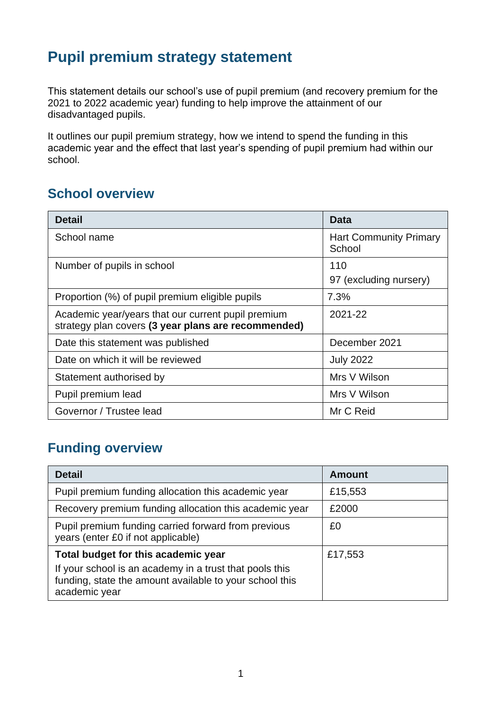# **Pupil premium strategy statement**

This statement details our school's use of pupil premium (and recovery premium for the 2021 to 2022 academic year) funding to help improve the attainment of our disadvantaged pupils.

It outlines our pupil premium strategy, how we intend to spend the funding in this academic year and the effect that last year's spending of pupil premium had within our school.

### **School overview**

| <b>Detail</b>                                                                                             | Data                                    |
|-----------------------------------------------------------------------------------------------------------|-----------------------------------------|
| School name                                                                                               | <b>Hart Community Primary</b><br>School |
| Number of pupils in school                                                                                | 110                                     |
|                                                                                                           | 97 (excluding nursery)                  |
| Proportion (%) of pupil premium eligible pupils                                                           | 7.3%                                    |
| Academic year/years that our current pupil premium<br>strategy plan covers (3 year plans are recommended) | 2021-22                                 |
| Date this statement was published                                                                         | December 2021                           |
| Date on which it will be reviewed                                                                         | <b>July 2022</b>                        |
| Statement authorised by                                                                                   | Mrs V Wilson                            |
| Pupil premium lead                                                                                        | Mrs V Wilson                            |
| Governor / Trustee lead                                                                                   | Mr C Reid                               |

## **Funding overview**

| <b>Detail</b>                                                                                                                                                              | <b>Amount</b> |
|----------------------------------------------------------------------------------------------------------------------------------------------------------------------------|---------------|
| Pupil premium funding allocation this academic year                                                                                                                        | £15,553       |
| Recovery premium funding allocation this academic year                                                                                                                     | £2000         |
| Pupil premium funding carried forward from previous<br>years (enter £0 if not applicable)                                                                                  | £0            |
| Total budget for this academic year<br>If your school is an academy in a trust that pools this<br>funding, state the amount available to your school this<br>academic year | £17,553       |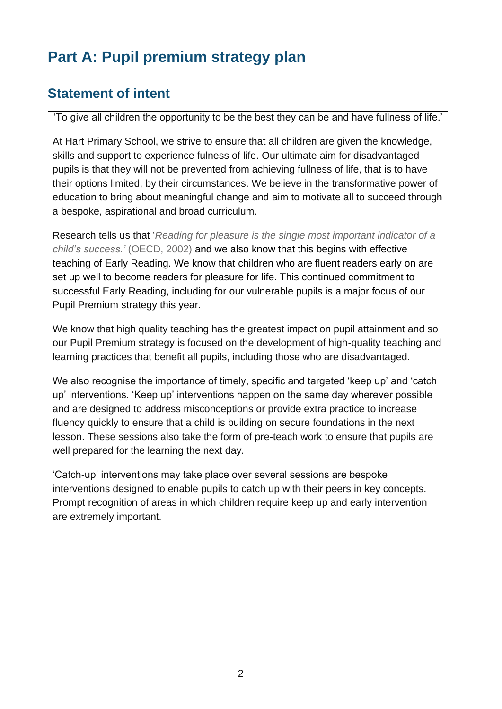# **Part A: Pupil premium strategy plan**

## **Statement of intent**

'To give all children the opportunity to be the best they can be and have fullness of life.'

At Hart Primary School, we strive to ensure that all children are given the knowledge, skills and support to experience fulness of life. Our ultimate aim for disadvantaged pupils is that they will not be prevented from achieving fullness of life, that is to have their options limited, by their circumstances. We believe in the transformative power of education to bring about meaningful change and aim to motivate all to succeed through a bespoke, aspirational and broad curriculum.

Research tells us that '*Reading for pleasure is the single most important indicator of a child's success.'* (OECD, 2002) and we also know that this begins with effective teaching of Early Reading. We know that children who are fluent readers early on are set up well to become readers for pleasure for life. This continued commitment to successful Early Reading, including for our vulnerable pupils is a major focus of our Pupil Premium strategy this year.

We know that high quality teaching has the greatest impact on pupil attainment and so our Pupil Premium strategy is focused on the development of high-quality teaching and learning practices that benefit all pupils, including those who are disadvantaged.

We also recognise the importance of timely, specific and targeted 'keep up' and 'catch up' interventions. 'Keep up' interventions happen on the same day wherever possible and are designed to address misconceptions or provide extra practice to increase fluency quickly to ensure that a child is building on secure foundations in the next lesson. These sessions also take the form of pre-teach work to ensure that pupils are well prepared for the learning the next day.

'Catch-up' interventions may take place over several sessions are bespoke interventions designed to enable pupils to catch up with their peers in key concepts. Prompt recognition of areas in which children require keep up and early intervention are extremely important.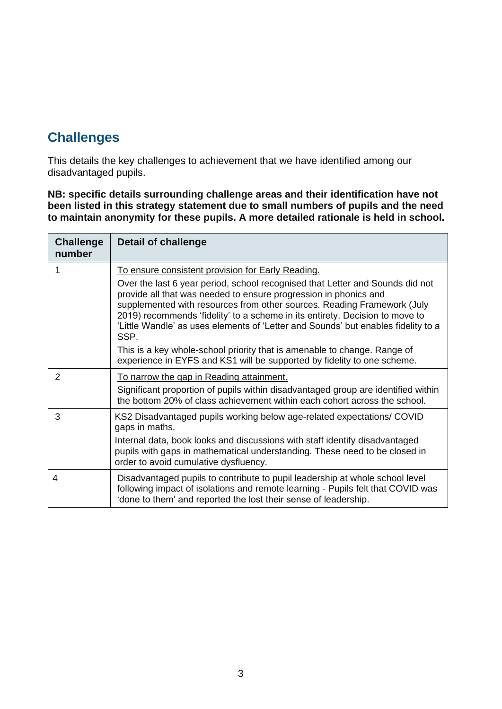# **Challenges**

This details the key challenges to achievement that we have identified among our disadvantaged pupils.

**NB: specific details surrounding challenge areas and their identification have not been listed in this strategy statement due to small numbers of pupils and the need to maintain anonymity for these pupils. A more detailed rationale is held in school.**

| <b>Challenge</b><br>number | <b>Detail of challenge</b>                                                                                                                                                                                                                                                                                                                                                                                |
|----------------------------|-----------------------------------------------------------------------------------------------------------------------------------------------------------------------------------------------------------------------------------------------------------------------------------------------------------------------------------------------------------------------------------------------------------|
|                            | To ensure consistent provision for Early Reading.                                                                                                                                                                                                                                                                                                                                                         |
|                            | Over the last 6 year period, school recognised that Letter and Sounds did not<br>provide all that was needed to ensure progression in phonics and<br>supplemented with resources from other sources. Reading Framework (July<br>2019) recommends 'fidelity' to a scheme in its entirety. Decision to move to<br>'Little Wandle' as uses elements of 'Letter and Sounds' but enables fidelity to a<br>SSP. |
|                            | This is a key whole-school priority that is amenable to change. Range of<br>experience in EYFS and KS1 will be supported by fidelity to one scheme.                                                                                                                                                                                                                                                       |
| 2                          | To narrow the gap in Reading attainment.                                                                                                                                                                                                                                                                                                                                                                  |
|                            | Significant proportion of pupils within disadvantaged group are identified within<br>the bottom 20% of class achievement within each cohort across the school.                                                                                                                                                                                                                                            |
| 3                          | KS2 Disadvantaged pupils working below age-related expectations/ COVID<br>gaps in maths.                                                                                                                                                                                                                                                                                                                  |
|                            | Internal data, book looks and discussions with staff identify disadvantaged<br>pupils with gaps in mathematical understanding. These need to be closed in<br>order to avoid cumulative dysfluency.                                                                                                                                                                                                        |
| 4                          | Disadvantaged pupils to contribute to pupil leadership at whole school level<br>following impact of isolations and remote learning - Pupils felt that COVID was<br>'done to them' and reported the lost their sense of leadership.                                                                                                                                                                        |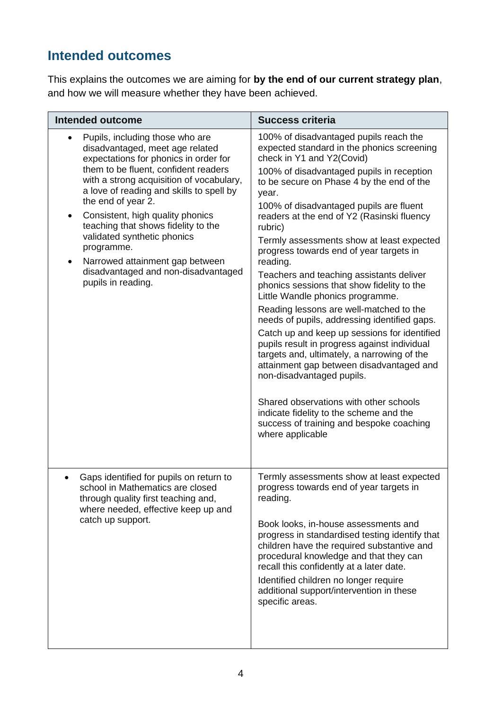# **Intended outcomes**

This explains the outcomes we are aiming for **by the end of our current strategy plan**, and how we will measure whether they have been achieved.

| <b>Intended outcome</b>                                                                                                                                                                                                                                                                                                                                                                                                                                                                   | <b>Success criteria</b>                                                                                                                                                                                                                                                                                                                                                                                                                                                                                                                                                                                                                                                                                                                                                                                                                                                                                                                                                                                                            |
|-------------------------------------------------------------------------------------------------------------------------------------------------------------------------------------------------------------------------------------------------------------------------------------------------------------------------------------------------------------------------------------------------------------------------------------------------------------------------------------------|------------------------------------------------------------------------------------------------------------------------------------------------------------------------------------------------------------------------------------------------------------------------------------------------------------------------------------------------------------------------------------------------------------------------------------------------------------------------------------------------------------------------------------------------------------------------------------------------------------------------------------------------------------------------------------------------------------------------------------------------------------------------------------------------------------------------------------------------------------------------------------------------------------------------------------------------------------------------------------------------------------------------------------|
| Pupils, including those who are<br>disadvantaged, meet age related<br>expectations for phonics in order for<br>them to be fluent, confident readers<br>with a strong acquisition of vocabulary,<br>a love of reading and skills to spell by<br>the end of year 2.<br>Consistent, high quality phonics<br>teaching that shows fidelity to the<br>validated synthetic phonics<br>programme.<br>Narrowed attainment gap between<br>disadvantaged and non-disadvantaged<br>pupils in reading. | 100% of disadvantaged pupils reach the<br>expected standard in the phonics screening<br>check in Y1 and Y2(Covid)<br>100% of disadvantaged pupils in reception<br>to be secure on Phase 4 by the end of the<br>year.<br>100% of disadvantaged pupils are fluent<br>readers at the end of Y2 (Rasinski fluency<br>rubric)<br>Termly assessments show at least expected<br>progress towards end of year targets in<br>reading.<br>Teachers and teaching assistants deliver<br>phonics sessions that show fidelity to the<br>Little Wandle phonics programme.<br>Reading lessons are well-matched to the<br>needs of pupils, addressing identified gaps.<br>Catch up and keep up sessions for identified<br>pupils result in progress against individual<br>targets and, ultimately, a narrowing of the<br>attainment gap between disadvantaged and<br>non-disadvantaged pupils.<br>Shared observations with other schools<br>indicate fidelity to the scheme and the<br>success of training and bespoke coaching<br>where applicable |
| Gaps identified for pupils on return to<br>school in Mathematics are closed<br>through quality first teaching and,<br>where needed, effective keep up and<br>catch up support.                                                                                                                                                                                                                                                                                                            | Termly assessments show at least expected<br>progress towards end of year targets in<br>reading.<br>Book looks, in-house assessments and<br>progress in standardised testing identify that<br>children have the required substantive and<br>procedural knowledge and that they can<br>recall this confidently at a later date.<br>Identified children no longer require<br>additional support/intervention in these<br>specific areas.                                                                                                                                                                                                                                                                                                                                                                                                                                                                                                                                                                                             |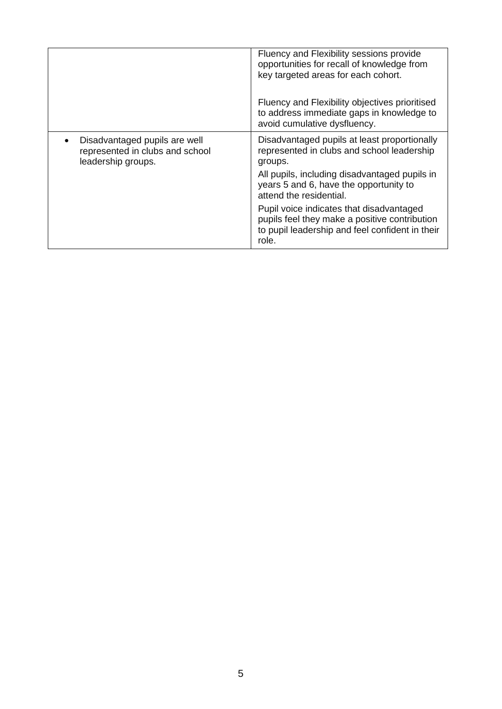|                                                                                        | Fluency and Flexibility sessions provide<br>opportunities for recall of knowledge from<br>key targeted areas for each cohort.<br>Fluency and Flexibility objectives prioritised<br>to address immediate gaps in knowledge to |
|----------------------------------------------------------------------------------------|------------------------------------------------------------------------------------------------------------------------------------------------------------------------------------------------------------------------------|
|                                                                                        | avoid cumulative dysfluency.                                                                                                                                                                                                 |
| Disadvantaged pupils are well<br>represented in clubs and school<br>leadership groups. | Disadvantaged pupils at least proportionally<br>represented in clubs and school leadership<br>groups.                                                                                                                        |
|                                                                                        | All pupils, including disadvantaged pupils in<br>years 5 and 6, have the opportunity to<br>attend the residential.                                                                                                           |
|                                                                                        | Pupil voice indicates that disadvantaged<br>pupils feel they make a positive contribution<br>to pupil leadership and feel confident in their<br>role.                                                                        |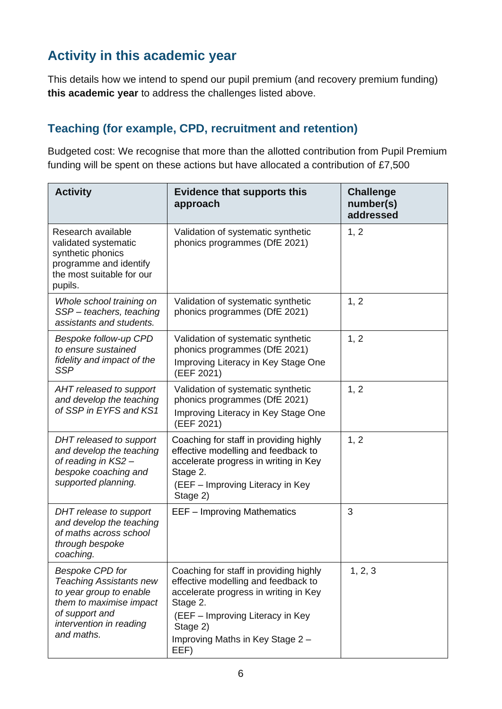# **Activity in this academic year**

This details how we intend to spend our pupil premium (and recovery premium funding) **this academic year** to address the challenges listed above.

#### **Teaching (for example, CPD, recruitment and retention)**

Budgeted cost: We recognise that more than the allotted contribution from Pupil Premium funding will be spent on these actions but have allocated a contribution of £7,500

| <b>Activity</b>                                                                                                                                                           | <b>Evidence that supports this</b><br>approach                                                                                                                                                                                 | <b>Challenge</b><br>number(s)<br>addressed |
|---------------------------------------------------------------------------------------------------------------------------------------------------------------------------|--------------------------------------------------------------------------------------------------------------------------------------------------------------------------------------------------------------------------------|--------------------------------------------|
| Research available<br>validated systematic<br>synthetic phonics<br>programme and identify<br>the most suitable for our<br>pupils.                                         | Validation of systematic synthetic<br>phonics programmes (DfE 2021)                                                                                                                                                            | 1, 2                                       |
| Whole school training on<br>SSP-teachers, teaching<br>assistants and students.                                                                                            | Validation of systematic synthetic<br>phonics programmes (DfE 2021)                                                                                                                                                            | 1, 2                                       |
| Bespoke follow-up CPD<br>to ensure sustained<br>fidelity and impact of the<br><b>SSP</b>                                                                                  | Validation of systematic synthetic<br>phonics programmes (DfE 2021)<br>Improving Literacy in Key Stage One<br>(EEF 2021)                                                                                                       | 1, 2                                       |
| AHT released to support<br>and develop the teaching<br>of SSP in EYFS and KS1                                                                                             | Validation of systematic synthetic<br>phonics programmes (DfE 2021)<br>Improving Literacy in Key Stage One<br>(EEF 2021)                                                                                                       | 1, 2                                       |
| DHT released to support<br>and develop the teaching<br>of reading in KS2 -<br>bespoke coaching and<br>supported planning.                                                 | Coaching for staff in providing highly<br>effective modelling and feedback to<br>accelerate progress in writing in Key<br>Stage 2.<br>(EEF - Improving Literacy in Key<br>Stage 2)                                             | 1, 2                                       |
| DHT release to support<br>and develop the teaching<br>of maths across school<br>through bespoke<br>coaching.                                                              | <b>EEF-Improving Mathematics</b>                                                                                                                                                                                               | 3                                          |
| <b>Bespoke CPD for</b><br><b>Teaching Assistants new</b><br>to year group to enable<br>them to maximise impact<br>of support and<br>intervention in reading<br>and maths. | Coaching for staff in providing highly<br>effective modelling and feedback to<br>accelerate progress in writing in Key<br>Stage 2.<br>(EEF - Improving Literacy in Key<br>Stage 2)<br>Improving Maths in Key Stage 2 -<br>EEF) | 1, 2, 3                                    |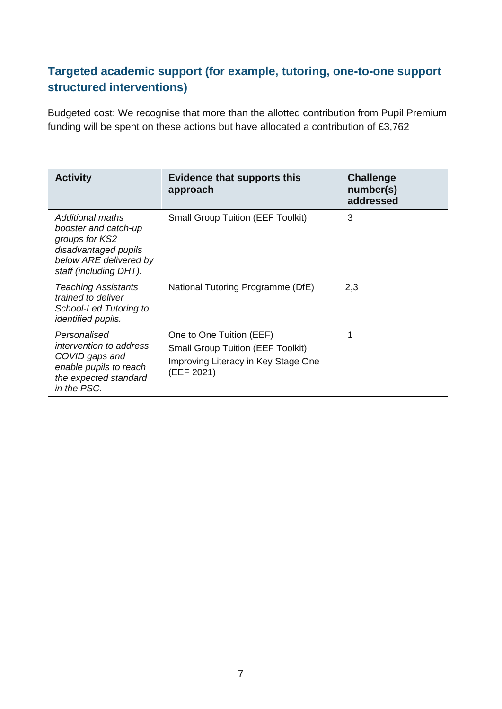#### **Targeted academic support (for example, tutoring, one-to-one support structured interventions)**

Budgeted cost: We recognise that more than the allotted contribution from Pupil Premium funding will be spent on these actions but have allocated a contribution of £3,762

| <b>Activity</b>                                                                                                                        | <b>Evidence that supports this</b><br>approach                                                                            | <b>Challenge</b><br>number(s)<br>addressed |
|----------------------------------------------------------------------------------------------------------------------------------------|---------------------------------------------------------------------------------------------------------------------------|--------------------------------------------|
| Additional maths<br>booster and catch-up<br>groups for KS2<br>disadvantaged pupils<br>below ARE delivered by<br>staff (including DHT). | <b>Small Group Tuition (EEF Toolkit)</b>                                                                                  | 3                                          |
| <b>Teaching Assistants</b><br>trained to deliver<br>School-Led Tutoring to<br><i>identified pupils.</i>                                | National Tutoring Programme (DfE)                                                                                         | 2,3                                        |
| Personalised<br><i>intervention to address</i><br>COVID gaps and<br>enable pupils to reach<br>the expected standard<br>in the PSC.     | One to One Tuition (EEF)<br><b>Small Group Tuition (EEF Toolkit)</b><br>Improving Literacy in Key Stage One<br>(EEF 2021) | 1                                          |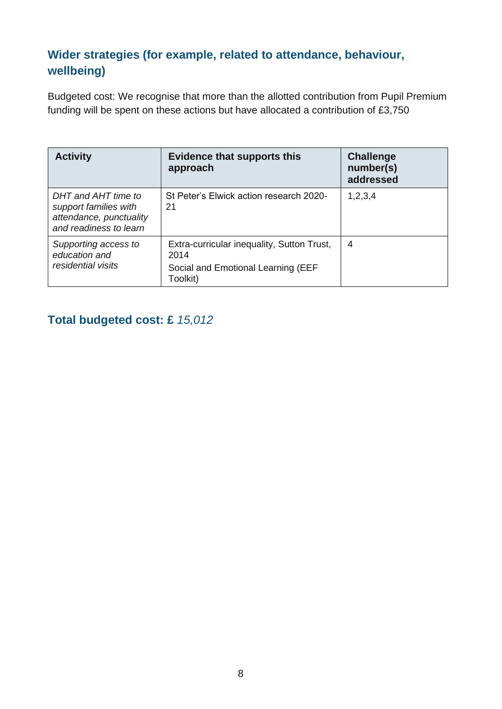### **Wider strategies (for example, related to attendance, behaviour, wellbeing)**

Budgeted cost: We recognise that more than the allotted contribution from Pupil Premium funding will be spent on these actions but have allocated a contribution of £3,750

| <b>Activity</b>                                                                                   | <b>Evidence that supports this</b><br>approach                                                       | <b>Challenge</b><br>number(s)<br>addressed |
|---------------------------------------------------------------------------------------------------|------------------------------------------------------------------------------------------------------|--------------------------------------------|
| DHT and AHT time to<br>support families with<br>attendance, punctuality<br>and readiness to learn | St Peter's Elwick action research 2020-<br>21                                                        | 1,2,3,4                                    |
| Supporting access to<br>education and<br>residential visits                                       | Extra-curricular inequality, Sutton Trust,<br>2014<br>Social and Emotional Learning (EEF<br>Toolkit) | 4                                          |

### **Total budgeted cost: £** *15,012*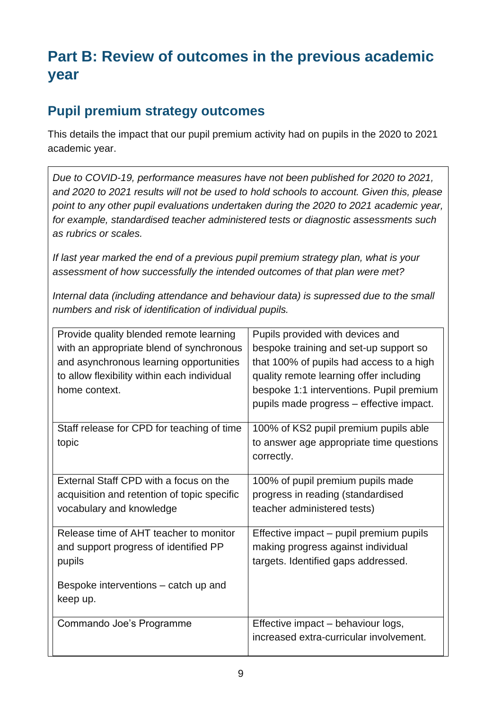# **Part B: Review of outcomes in the previous academic year**

## **Pupil premium strategy outcomes**

This details the impact that our pupil premium activity had on pupils in the 2020 to 2021 academic year.

*Due to COVID-19, performance measures have not been published for 2020 to 2021, and 2020 to 2021 results will not be used to hold schools to account. Given this, please point to any other pupil evaluations undertaken during the 2020 to 2021 academic year, for example, standardised teacher administered tests or diagnostic assessments such as rubrics or scales.*

*If last year marked the end of a previous pupil premium strategy plan, what is your assessment of how successfully the intended outcomes of that plan were met?* 

*Internal data (including attendance and behaviour data) is supressed due to the small numbers and risk of identification of individual pupils.*

| Provide quality blended remote learning     | Pupils provided with devices and         |
|---------------------------------------------|------------------------------------------|
| with an appropriate blend of synchronous    | bespoke training and set-up support so   |
| and asynchronous learning opportunities     | that 100% of pupils had access to a high |
| to allow flexibility within each individual | quality remote learning offer including  |
| home context.                               | bespoke 1:1 interventions. Pupil premium |
|                                             | pupils made progress - effective impact. |
| Staff release for CPD for teaching of time  | 100% of KS2 pupil premium pupils able    |
| topic                                       | to answer age appropriate time questions |
|                                             | correctly.                               |
|                                             |                                          |
| External Staff CPD with a focus on the      | 100% of pupil premium pupils made        |
| acquisition and retention of topic specific | progress in reading (standardised        |
| vocabulary and knowledge                    | teacher administered tests)              |
| Release time of AHT teacher to monitor      | Effective impact – pupil premium pupils  |
| and support progress of identified PP       | making progress against individual       |
|                                             |                                          |
| pupils                                      | targets. Identified gaps addressed.      |
| Bespoke interventions – catch up and        |                                          |
| keep up.                                    |                                          |
|                                             |                                          |
| Commando Joe's Programme                    | Effective impact - behaviour logs,       |
|                                             | increased extra-curricular involvement.  |
|                                             |                                          |